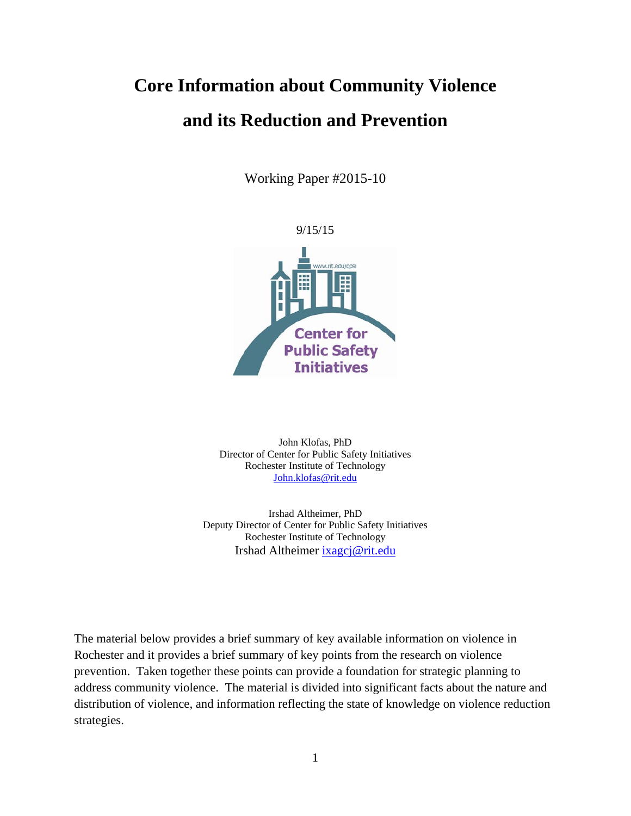## **Core Information about Community Violence and its Reduction and Prevention**

Working Paper #2015-10



John Klofas, PhD Director of Center for Public Safety Initiatives Rochester Institute of Technology [John.klofas@rit.edu](mailto:John.klofas@rit.edu)

Irshad Altheimer, PhD Deputy Director of Center for Public Safety Initiatives Rochester Institute of Technology Irshad Altheimer [ixagcj@rit.edu](mailto:ixagcj@rit.edu)

The material below provides a brief summary of key available information on violence in Rochester and it provides a brief summary of key points from the research on violence prevention. Taken together these points can provide a foundation for strategic planning to address community violence. The material is divided into significant facts about the nature and distribution of violence, and information reflecting the state of knowledge on violence reduction strategies.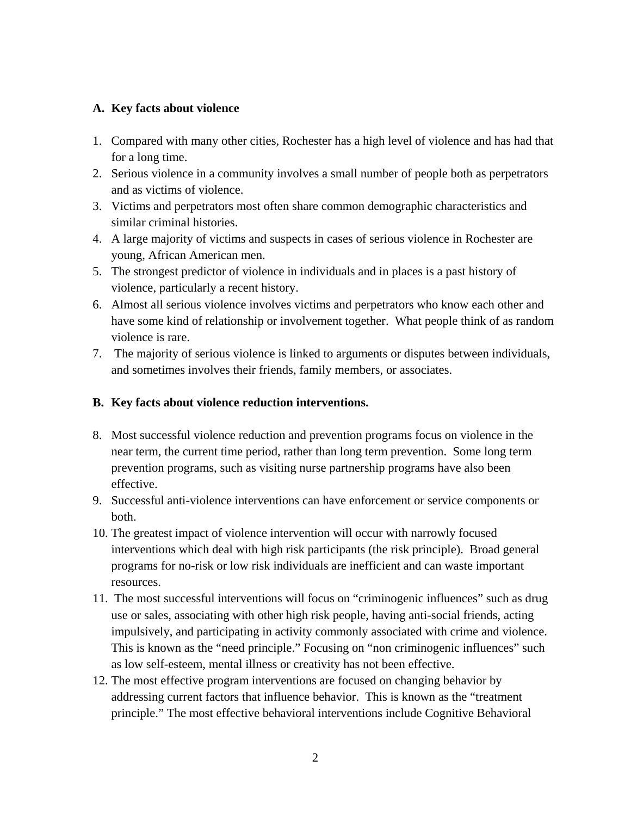## **A. Key facts about violence**

- 1. Compared with many other cities, Rochester has a high level of violence and has had that for a long time.
- 2. Serious violence in a community involves a small number of people both as perpetrators and as victims of violence.
- 3. Victims and perpetrators most often share common demographic characteristics and similar criminal histories.
- 4. A large majority of victims and suspects in cases of serious violence in Rochester are young, African American men.
- 5. The strongest predictor of violence in individuals and in places is a past history of violence, particularly a recent history.
- 6. Almost all serious violence involves victims and perpetrators who know each other and have some kind of relationship or involvement together. What people think of as random violence is rare.
- 7. The majority of serious violence is linked to arguments or disputes between individuals, and sometimes involves their friends, family members, or associates.

## **B. Key facts about violence reduction interventions.**

- 8. Most successful violence reduction and prevention programs focus on violence in the near term, the current time period, rather than long term prevention. Some long term prevention programs, such as visiting nurse partnership programs have also been effective.
- 9. Successful anti-violence interventions can have enforcement or service components or both.
- 10. The greatest impact of violence intervention will occur with narrowly focused interventions which deal with high risk participants (the risk principle). Broad general programs for no-risk or low risk individuals are inefficient and can waste important resources.
- 11. The most successful interventions will focus on "criminogenic influences" such as drug use or sales, associating with other high risk people, having anti-social friends, acting impulsively, and participating in activity commonly associated with crime and violence. This is known as the "need principle." Focusing on "non criminogenic influences" such as low self-esteem, mental illness or creativity has not been effective.
- 12. The most effective program interventions are focused on changing behavior by addressing current factors that influence behavior. This is known as the "treatment principle." The most effective behavioral interventions include Cognitive Behavioral